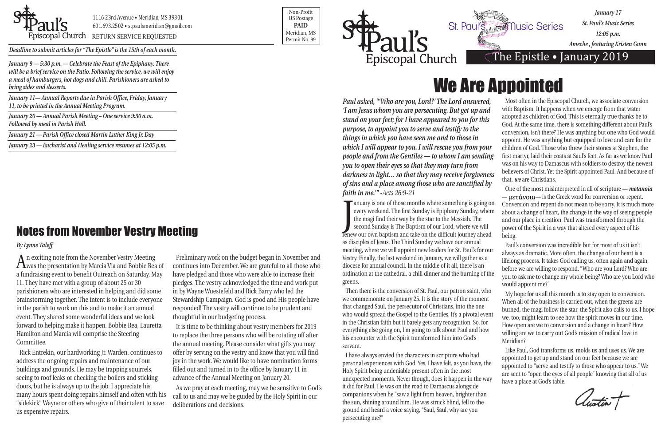*Paul asked, "'Who are you, Lord?' The Lord answered, 'I am Jesus whom you are persecuting. But get up and stand on your feet; for I have appeared to you for this purpose, to appoint you to serve and testify to the things in which you have seen me and to those in which I will appear to you. I will rescue you from your people and from the Gentiles — to whom I am sending you to open their eyes so that they may turn from darkness to light… so that they may receive forgiveness of sins and a place among those who are sanctified by faith in me.'" -Acts 26:9-21* every weekend. The first Sunday is Epiphany Sunday, where<br>the magi find their way by the star to the Messiah. The<br>second Sunday is The Baptism of our Lord, where we will<br>fenew our own baptism and take on the difficult jour anuary is one of those months where something is going on every weekend. The first Sunday is Epiphany Sunday, where the magi find their way by the star to the Messiah. The second Sunday is The Baptism of our Lord, where we will as disciples of Jesus. The Third Sunday we have our annual meeting, where we will appoint new leaders for St. Paul's for our Vestry. Finally, the last weekend in January, we will gather as a diocese for annual council. In the middle of it all, there is an Most often in the Episcopal Church, we associate conversion with Baptism. It happens when we emerge from that water adopted as children of God. This is eternally true thanks be to God. At the same time, there is something different about Paul's conversion, isn't there? He was anything but one who God would appoint. He was anything but equipped to love and care for the children of God. Those who threw their stones at Stephen, the first martyr, laid their coats at Saul's feet. As far as we know Paul was on his way to Damascus with soldiers to destroy the newest believers of Christ. Yet the Spirit appointed Paul. And because of that, *we* are Christians. One of the most misinterpreted in all of scripture — *metanoia* — μετάνοια — is the Greek word for conversion or repent. Conversion and repent do not mean to be sorry. It is much more about a change of heart, the change in the way of seeing people and our place in creation. Paul was transformed through the power of the Spirit in a way that altered every aspect of his being. Paul's conversion was incredible but for most of us it isn't always as dramatic. More often, the change of our heart is a lifelong process. It takes God calling us, often again and again,

ordination at the cathedral, a chili dinner and the burning of the greens. before we are willing to respond, "Who are you Lord? Who are you to ask me to change my whole being? Who are you Lord who would appoint me?"

Then there is the conversion of St. Paul, our patron saint, who we commemorate on January 25. It is the story of the moment that changed Saul, the persecutor of Christians, into the one who would spread the Gospel to the Gentiles. It's a pivotal event in the Christian faith but it barely gets any recognition. So, for everything else going on, I'm going to talk about Paul and how his encounter with the Spirit transformed him into God's servant. My hope for us all this month is to stay open to conversion. When all of the business is carried out, when the greens are burned, the magi follow the star, the Spirit also calls to us. I hope we, too, might learn to see how the spirit moves in our time. How open are we to conversion and a change in heart? How willing are we to carry out God's mission of radical love in Meridian?

I have always envied the characters in scripture who had personal experiences with God. Yes, I have felt, as you have, the Holy Spirit being undeniable present often in the most unexpected moments. Never though, does it happen in the way it did for Paul. He was on the road to Damascus alongside companions when he "saw a light from heaven, brighter than the sun, shining around him. He was struck blind, fell to the ground and heard a voice saying, "Saul, Saul, why are you persecuting me?" Like Paul, God transforms us, molds us and uses us. We are appointed to get up and stand on our feet because we are appointed to "serve and testify to those who appear to us." We are sent to "open the eyes of all people" knowing that all of us have a place at God's table.



POSCOPAL Church RETURN SERVICE REQUESTED PERMIT NO. 99

Non-Profit US Postage **PAID** Meridian, MS



*Deadline to submit articles for "The Epistle" is the 15th of each month.* 

*January 17 St. Paul's Music Series 12:05 p.m. Ameche , featuring Kristen Gunn*

### The Epistle . January 2019

## Notes from November Vestry Meeting

#### *By Lynne Taleff*

*January 9 — 5:30 p.m. — Celebrate the Feast of the Epiphany. There will be a brief service on the Patio. Following the service, we will enjoy a meal of hamburgers, hot dogs and chili. Parishioners are asked to bring sides and desserts.*

*January 11— Annual Reports due in Parish Office, Friday, January 11, to be printed in the Annual Meeting Program.*

*January 20 — Annual Parish Meeting – One service 9:30 a.m. Followed by meal in Parish Hall.*

*January 21 — Parish Office closed Martin Luther King Jr. Day*

*January 23 — Eucharist and Healing service resumes at 12:05 p.m.*

An exciting note from the November Vestry Meeting was the presentation by Marcia Via and Bobbie Rea of a fundraising event to benefit Outreach on Saturday, May 11. They have met with a group of about 25 or 30 parishioners who are interested in helping and did some brainstorming together. The intent is to include everyone in the parish to work on this and to make it an annual event. They shared some wonderful ideas and we look forward to helping make it happen. Bobbie Rea, Lauretta Hamilton and Marcia will comprise the Steering Committee.

Rick Entrekin, our hardworking Jr. Warden, continues to address the ongoing repairs and maintenance of our buildings and grounds. He may be trapping squirrels, seeing to roof leaks or checking the boilers and sticking doors, but he is always up to the job. I appreciate his many hours spent doing repairs himself and often with his "sidekick" Wayne or others who give of their talent to save us expensive repairs.

Preliminary work on the budget began in November and continues into December. We are grateful to all those who have pledged and those who were able to increase their pledges. The vestry acknowledged the time and work put in by Wayne Wuestefeld and Rick Barry who led the Stewardship Campaign. God is good and His people have responded! The vestry will continue to be prudent and thoughtful in our budgeting process.

It is time to be thinking about vestry members for 2019 to replace the three persons who will be rotating off after the annual meeting. Please consider what gifts you may offer by serving on the vestry and know that you will find joy in the work. We would like to have nomination forms filled out and turned in to the office by January 11 in advance of the Annual Meeting on January 20.

As we pray at each meeting, may we be sensitive to God's call to us and may we be guided by the Holy Spirit in our deliberations and decisions.

# We Are Appointed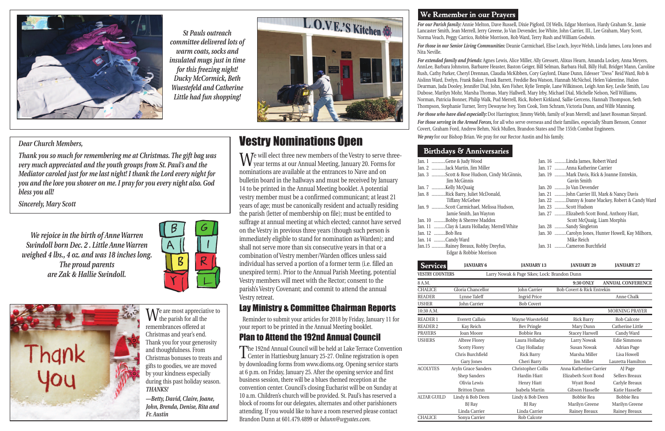*For our Parish family:* Annie Melton, Dave Russell, Dixie Pigford, DJ Wells, Edgar Morrison, Hardy Graham Sr., Jamie Lancaster Smith, Jean Merrell, Jerry Greene, Jo Van Devender, Joe White, John Carrier, III., Lee Graham, Mary Scott, Norma Veach, Peggy Carrico, Robbie Morrison, Rob Ward, Terry Rush and William Godwin.

*For those in our Senior Living Communities:* Deanie Carmichael, Elise Leach, Joyce Welsh, Linda James, Lora Jones and

#### We Remember in our Prayers



*For extended family and friends:* Agnes Lewis, Alice Miller, Ally Gressett, Alixus Hearn, Amanda Lockey, Anna Meyers, AnnLee, Barbara Johnston, Barbaree Heaster, Baston Geiger, Bill Selman, Barbara Hull, Billy Hull, Bridget Mann, Caroline Rush, Cathy Parker, Cheryl Drennan, Claudia McKibben, Cory Gaylord, Diane Dunn, Edesser "Dess" Reid Ward, Rob & Aislinn Ward, Evelyn, Frank Baker, Frank Barrett, Freddie Bea Watson, Hannah McNichol, Helen Valentine, Hulon Dearman, Jada Dooley, Jennifer Dial, John, Ken Fisher, Kylie Temple, Lane Wilkinson, Leigh Ann Key, Leslie Smith, Lou Dubose, Marilyn Mohr, Marsha Thomas, Mary Hallwell, Mary Irby, Michael Dial, Michelle Nelson, Nell Williams, Norman, Patricia Bonner, Philip Walk, Pud Merrell, Rick, Robert Kirkland, Sallie Gercens, Hannah Thompson, Seth Thompson, Stephanie Turner, Terry Dewayne Ivey, Tom Cook, Tom Schram, Victoria Dunn, and Wilfe Manning. *For those who have died especially:* Dot Harrington; Jimmy Webb, family of Jean Merrell; and Janet Rossman Sinyard. *For those serving in the Armed Forces,* for all who serve overseas and their families, especially Shum Benson, Connor Covert, Graham Ford, Andrew Behm, Nick Mullen, Brandon States and The 155th Combat Engineers. *We pray* for our Bishop Brian. We pray for our Rector Austin and his family.

#### **Birthdays & Anniversaries**

| Jan. 1 Gene & Judy Wood                      | Jan. 16 Linda James, Robert Ward                   |
|----------------------------------------------|----------------------------------------------------|
| Jan. 2 Jack Martin, Jim Miller               | Jan. 17 Anna Katherine Carrier                     |
| Jan. 3 Scott & Rose Hudson, Cindy McGinnis,  | Jan. 19 Mark Davis, Rick & Joanne Entrekin,        |
| <b>Iim McGinnis</b>                          | Gavin Smith                                        |
| Jan. 7 Kelly McQuaig                         | Jan. 20 Jo Van Devender                            |
| Jan. 8 Rick Barry, Juliet McDonald,          | Jan. 21 John Carrier III, Mark & Nancy Davis       |
| <b>Tiffany McGehee</b>                       | Jan. 22 Danny & Joane Mackey, Robert & Candy Ward  |
| Jan. 9 Scott Carmichael, Melissa Hudson,     | Jan. 23 Scott Hudson                               |
| Jamie Smith, Jan Wayton                      | Jan. 27 Elizabeth Scott Bond, Anthony Hiatt,       |
| Jan. 10 Bobby & Sherree Maddox               | Scott McQuaig, Liam Morphis                        |
| Jan. 11 Clay & Laura Holladay, Merrell White | Jan. 28 Sandy Singleton                            |
| Jan. 12 Bob Rea                              | Jan. 30 Carolyn Jones, Hunter Howell, Kay Milhorn, |
| Jan. 14 Candy Ward                           | Mike Reich                                         |
| Jan.15 Rainey Breaux, Robby Dreyfus,         | Jan. 31 Cameron Burchfield                         |
| Edgar & Robbie Morrison                      |                                                    |
|                                              |                                                    |

| <b>Services</b>                                                        | <b>JANUARY 6</b>       | <b>JANUARY 13</b>   | <b>JANUARY 20</b>                     | <b>JANUARY 27</b>        |  |  |
|------------------------------------------------------------------------|------------------------|---------------------|---------------------------------------|--------------------------|--|--|
| <b>VESTRY COUNTERS</b><br>Larry Nowak & Page Sikes; Lock: Brandon Dunn |                        |                     |                                       |                          |  |  |
| 8 A.M.                                                                 |                        |                     | 9:30 ONLY                             | <b>ANNUAL CONFERENCE</b> |  |  |
| <b>CHALICE</b>                                                         | Gloria Chancellor      | John Carrier        | <b>Bob Covert &amp; Rick Entrekin</b> |                          |  |  |
| <b>READER</b>                                                          | Lynne Taleff           | <b>Ingrid Price</b> |                                       | Anne Chalk               |  |  |
| <b>USHER</b>                                                           | John Carrier           | <b>Bob Covert</b>   |                                       |                          |  |  |
| 10:30 A.M.                                                             |                        |                     |                                       | <b>MORNING PRAYER</b>    |  |  |
| <b>READER 1</b>                                                        | <b>Everett Callais</b> | Wayne Wuestefeld    | <b>Rick Barry</b>                     | <b>Rob Calcote</b>       |  |  |
| <b>READER 2</b>                                                        | Kay Reich              | <b>Bev Pringle</b>  | Mary Dunn                             | Catherine Little         |  |  |
| <b>PRAYERS</b>                                                         | <b>Joan Moore</b>      | <b>Bobbie Rea</b>   | <b>Stacey Harwell</b>                 | Candy Ward               |  |  |
| <b>USHERS</b>                                                          | Albree Florey          | Laura Holladay      | Larry Nowak                           | <b>Edie Simmons</b>      |  |  |
|                                                                        | <b>Scotty Florey</b>   | Clay Holladay       | Susan Nowak                           | Adrian Page              |  |  |
|                                                                        | Chris Burchfield       | <b>Rick Barry</b>   | Marsha Miller                         | Lisa Howell              |  |  |
|                                                                        | Gary Jones             | Cheri Barry         | <b>Iim Miller</b>                     | Lauretta Hamilton        |  |  |
| <b>ACOLYTES</b>                                                        | Aryln Grace Sanders    | Christopher Collis  | Anna Katherine Carrier                | AJ Page                  |  |  |
|                                                                        | Shep Sanders           | <b>Hardin Hiatt</b> | Elizabeth Scott Bond                  | Sellers Breaux           |  |  |
|                                                                        | Olivia Lewis           | Henry Hiatt         | <b>Wyatt Bond</b>                     | Carlyle Breaux           |  |  |
|                                                                        | <b>Britton Dunn</b>    | Isabela Martin      | <b>Gibson Hasselle</b>                | Katie Hasselle           |  |  |
| <b>ALTAR GUILD</b>                                                     | Lindy & Bob Deen       | Lindy & Bob Deen    | <b>Bobbie Rea</b>                     | <b>Bobbie Rea</b>        |  |  |
|                                                                        | BJ Ray                 | BJ Ray              | Marilyn Greene                        | Marilyn Greene           |  |  |
|                                                                        | Linda Carrier          | Linda Carrier       | Rainey Breaux                         | Rainey Breaux            |  |  |
| <b>CHALICE</b>                                                         | Sonya Carrier          | Rob Calcote         |                                       |                          |  |  |

 $\mathbf{W}_{\text{the}}$  are most appreciative to the parish for all the remembrances offered at Christmas and year's end. Thank you for your generosity and thoughfulness. From Christmas bonuses to treats and gifts to goodies, we are moved by your kindness especially during this past holiday season. *THANKS!*

*We rejoice in the birth of Anne Warren Swindoll born Dec. 2 . Little Anne Warren weighed 4 lbs., 4 oz. and was 18 inches long. The proud parents are Zak & Hallie Swindoll.*





# Vestry Nominations Open

We will elect three new members of the Vestry to serve three-year terms at our Annual Meeting, January 20. Forms for nominations are available at the entrances to Nave and on bulletin board in the hallways and must be received by January 14 to be printed in the Annual Meeting booklet. A potential vestry member must be a confirmed communicant; at least 21 years of age; must be canonically resident and actually residing the parish (letter of membership on file); must be entitled to suffrage at annual meeting at which elected; cannot have served on the Vestry in previous three years (though such person is immediately eligible to stand for nomination as Warden); and shall not serve more than six consecutive years in that or a combination of Vestry member/Warden offices unless said individual has served a portion of a former term (i.e. filled an unexpired term). Prior to the Annual Parish Meeting, potential Vestry members will meet with the Rector; consent to the parish's Vestry Covenant; and commit to attend the annual Vestry retreat.

#### Lay Ministry & Committee Chairman Reports

Reminder to submit your articles for 2018 by Friday, January 11 for your report to be printed in the Annual Meeting booklet.

#### Plan to Attend the 192nd Annual Council

The 192nd Annual Council will be held at Lake Terrace Convention Center in Hattiesburg January 25-27. Online registration is open by downloading forms from www.dioms.org. Opening service starts at 6 p.m. on Friday, January 25. After the opening service and first business session, there will be a blues themed reception at the convention center. Council's closing Eucharist will be on Sunday at 10 a.m. Children's church will be provided. St. Paul's has reserved a block of rooms for our delegates, alternates and other parishioners attending. If you would like to have a room reserved please contact Brandon Dunn at 601.479.4899 or *bdunn@wgyates.com*.



*St Pauls outreach committee delivered lots of warm coats, socks and insulated mugs just in time for this freezing night! Ducky McCormick, Beth Wuestefeld and Catherine Little had fun shopping!*



#### *Dear Church Members,*

*Thank you so much for remembering me at Christmas. The gift bag was very much appreciated and the youth groups from St. Paul's and the Mediator caroled just for me last night! I thank the Lord every night for you and the love you shower on me. I pray for you every night also. God bless you all!* 

*Sincerely, Mary Scott*

*—Betty, David, Claire, Joane, John, Brenda, Denise, Rita and Fr. Austin*